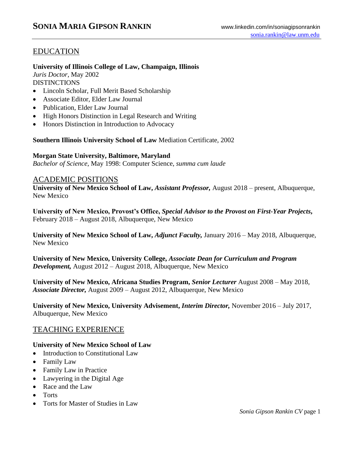# EDUCATION

## **University of Illinois College of Law, Champaign, Illinois**

*Juris Doctor*, May 2002 **DISTINCTIONS** 

- Lincoln Scholar, Full Merit Based Scholarship
- Associate Editor, Elder Law Journal
- Publication, Elder Law Journal
- High Honors Distinction in Legal Research and Writing
- Honors Distinction in Introduction to Advocacy

**Southern Illinois University School of Law** Mediation Certificate, 2002

#### **Morgan State University, Baltimore, Maryland**

*Bachelor of Science*, May 1998: Computer Science, *summa cum laude*

#### ACADEMIC POSITIONS

**University of New Mexico School of Law,** *Assistant Professor,* August 2018 – present, Albuquerque, New Mexico

**University of New Mexico, Provost's Office,** *Special Advisor to the Provost on First-Year Projects***,**  February 2018 – August 2018, Albuquerque, New Mexico

**University of New Mexico School of Law,** *Adjunct Faculty,* January 2016 – May 2018, Albuquerque, New Mexico

**University of New Mexico, University College,** *Associate Dean for Curriculum and Program Development,* August 2012 – August 2018, Albuquerque, New Mexico

**University of New Mexico, Africana Studies Program,** *Senior Lecturer* August 2008 – May 2018*, Associate Director,* August 2009 – August 2012, Albuquerque, New Mexico

**University of New Mexico, University Advisement,** *Interim Director,* November 2016 – July 2017, Albuquerque, New Mexico

## TEACHING EXPERIENCE

## **University of New Mexico School of Law**

- Introduction to Constitutional Law
- Family Law
- Family Law in Practice
- Lawyering in the Digital Age
- Race and the Law
- Torts
- Torts for Master of Studies in Law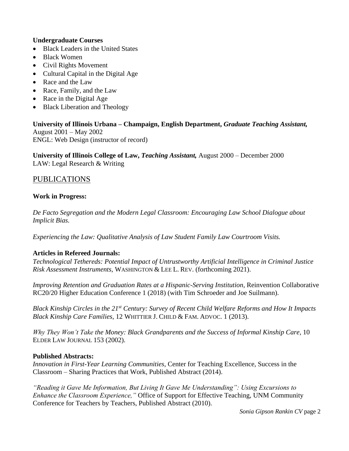#### **Undergraduate Courses**

- Black Leaders in the United States
- Black Women
- Civil Rights Movement
- Cultural Capital in the Digital Age
- Race and the Law
- Race, Family, and the Law
- Race in the Digital Age
- Black Liberation and Theology

**University of Illinois Urbana – Champaign, English Department,** *Graduate Teaching Assistant,* August 2001 – May 2002 ENGL: Web Design (instructor of record)

**University of Illinois College of Law,** *Teaching Assistant,* August 2000 – December 2000 LAW: Legal Research & Writing

## PUBLICATIONS

#### **Work in Progress:**

*De Facto Segregation and the Modern Legal Classroom: Encouraging Law School Dialogue about Implicit Bias.*

*Experiencing the Law: Qualitative Analysis of Law Student Family Law Courtroom Visits.* 

#### **Articles in Refereed Journals:**

*Technological Tethereds: Potential Impact of Untrustworthy Artificial Intelligence in Criminal Justice Risk Assessment Instruments*, WASHINGTON & LEE L. REV. (forthcoming 2021).

*Improving Retention and Graduation Rates at a Hispanic-Serving Institution*, Reinvention Collaborative RC20/20 Higher Education Conference 1 (2018) (with Tim Schroeder and Joe Suilmann).

*Black Kinship Circles in the 21st Century: Survey of Recent Child Welfare Reforms and How It Impacts Black Kinship Care Families*, 12 WHITTIER J. CHILD & FAM. ADVOC. 1 (2013).

*Why They Won't Take the Money: Black Grandparents and the Success of Informal Kinship Care,* 10 ELDER LAW JOURNAL 153 (2002).

#### **Published Abstracts:**

*Innovation in First-Year Learning Communities,* Center for Teaching Excellence, Success in the Classroom – Sharing Practices that Work, Published Abstract (2014).

*"Reading it Gave Me Information, But Living It Gave Me Understanding": Using Excursions to Enhance the Classroom Experience,"* Office of Support for Effective Teaching, UNM Community Conference for Teachers by Teachers, Published Abstract (2010).

*Sonia Gipson Rankin CV* page 2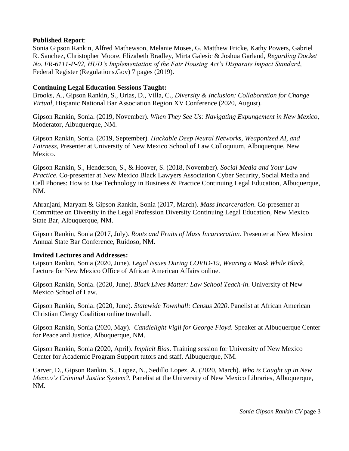#### **Published Report**:

Sonia Gipson Rankin, Alfred Mathewson, Melanie Moses, G. Matthew Fricke, Kathy Powers, Gabriel R. Sanchez, Christopher Moore, Elizabeth Bradley, Mirta Galesic & Joshua Garland, *Regarding Docket No. FR-6111-P-02, HUD's Implementation of the Fair Housing Act's Disparate Impact Standard*, Federal Register (Regulations.Gov) 7 pages (2019).

## **Continuing Legal Education Sessions Taught:**

Brooks, A., Gipson Rankin, S., Urias, D., Villa, C., *Diversity & Inclusion: Collaboration for Change Virtual*, Hispanic National Bar Association Region XV Conference (2020, August).

Gipson Rankin, Sonia. (2019, November). *When They See Us: Navigating Expungement in New Mexico*, Moderator, Albuquerque, NM.

Gipson Rankin, Sonia. (2019, September). *Hackable Deep Neural Networks, Weaponized AI, and Fairness*, Presenter at University of New Mexico School of Law Colloquium, Albuquerque, New Mexico.

Gipson Rankin, S., Henderson, S., & Hoover, S. (2018, November). *Social Media and Your Law Practice*. Co-presenter at New Mexico Black Lawyers Association Cyber Security, Social Media and Cell Phones: How to Use Technology in Business & Practice Continuing Legal Education, Albuquerque, NM.

Ahranjani, Maryam & Gipson Rankin, Sonia (2017, March). *Mass Incarceration*. Co-presenter at Committee on Diversity in the Legal Profession Diversity Continuing Legal Education, New Mexico State Bar, Albuquerque, NM.

Gipson Rankin, Sonia (2017, July). *Roots and Fruits of Mass Incarceration*. Presenter at New Mexico Annual State Bar Conference, Ruidoso, NM.

## **Invited Lectures and Addresses:**

Gipson Rankin, Sonia (2020, June). *Legal Issues During COVID-19, Wearing a Mask While Black*, Lecture for New Mexico Office of African American Affairs online.

Gipson Rankin, Sonia. (2020, June). *Black Lives Matter: Law School Teach-in*. University of New Mexico School of Law.

Gipson Rankin, Sonia. (2020, June). *Statewide Townhall: Census 2020*. Panelist at African American Christian Clergy Coalition online townhall.

Gipson Rankin, Sonia (2020, May). *Candlelight Vigil for George Floyd*. Speaker at Albuquerque Center for Peace and Justice, Albuquerque, NM.

Gipson Rankin, Sonia (2020, April). *Implicit Bias*. Training session for University of New Mexico Center for Academic Program Support tutors and staff, Albuquerque, NM.

Carver, D., Gipson Rankin, S., Lopez, N., Sedillo Lopez, A. (2020, March). *Who is Caught up in New Mexico's Criminal Justice System?*, Panelist at the University of New Mexico Libraries, Albuquerque, NM.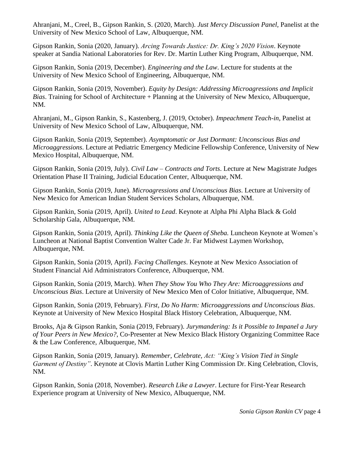Ahranjani, M., Creel, B., Gipson Rankin, S. (2020, March). *Just Mercy Discussion Panel,* Panelist at the University of New Mexico School of Law, Albuquerque, NM.

Gipson Rankin, Sonia (2020, January). *Arcing Towards Justice: Dr. King's 2020 Vision*. Keynote speaker at Sandia National Laboratories for Rev. Dr. Martin Luther King Program, Albuquerque, NM.

Gipson Rankin, Sonia (2019, December). *Engineering and the Law*. Lecture for students at the University of New Mexico School of Engineering, Albuquerque, NM.

Gipson Rankin, Sonia (2019, November). *Equity by Design: Addressing Microagressions and Implicit Bias*. Training for School of Architecture + Planning at the University of New Mexico, Albuquerque, NM.

Ahranjani, M., Gipson Rankin, S., Kastenberg, J. (2019, October). *Impeachment Teach-in*, Panelist at University of New Mexico School of Law, Albuquerque, NM.

Gipson Rankin, Sonia (2019, September). *Asymptomatic or Just Dormant: Unconscious Bias and Microaggressions*. Lecture at Pediatric Emergency Medicine Fellowship Conference, University of New Mexico Hospital, Albuquerque, NM.

Gipson Rankin, Sonia (2019, July). *Civil Law – Contracts and Torts*. Lecture at New Magistrate Judges Orientation Phase II Training, Judicial Education Center, Albuquerque, NM.

Gipson Rankin, Sonia (2019, June). *Microagressions and Unconscious Bias*. Lecture at University of New Mexico for American Indian Student Services Scholars, Albuquerque, NM.

Gipson Rankin, Sonia (2019, April). *United to Lead*. Keynote at Alpha Phi Alpha Black & Gold Scholarship Gala, Albuquerque, NM.

Gipson Rankin, Sonia (2019, April). *Thinking Like the Queen of Sheba.* Luncheon Keynote at Women's Luncheon at National Baptist Convention Walter Cade Jr. Far Midwest Laymen Workshop, Albuquerque, NM.

Gipson Rankin, Sonia (2019, April). *Facing Challenges*. Keynote at New Mexico Association of Student Financial Aid Administrators Conference, Albuquerque, NM.

Gipson Rankin, Sonia (2019, March). *When They Show You Who They Are: Microaggressions and Unconscious Bias*. Lecture at University of New Mexico Men of Color Initiative, Albuquerque, NM.

Gipson Rankin, Sonia (2019, February). *First, Do No Harm: Microaggressions and Unconscious Bias*. Keynote at University of New Mexico Hospital Black History Celebration, Albuquerque, NM.

Brooks, Aja & Gipson Rankin, Sonia (2019, February). *Jurymandering: Is it Possible to Impanel a Jury of Your Peers in New Mexico?*, Co-Presenter at New Mexico Black History Organizing Committee Race & the Law Conference, Albuquerque, NM.

Gipson Rankin, Sonia (2019, January). *Remember, Celebrate, Act: "King's Vision Tied in Single Garment of Destiny"*. Keynote at Clovis Martin Luther King Commission Dr. King Celebration, Clovis, NM.

Gipson Rankin, Sonia (2018, November). *Research Like a Lawyer*. Lecture for First-Year Research Experience program at University of New Mexico, Albuquerque, NM.

*Sonia Gipson Rankin CV* page 4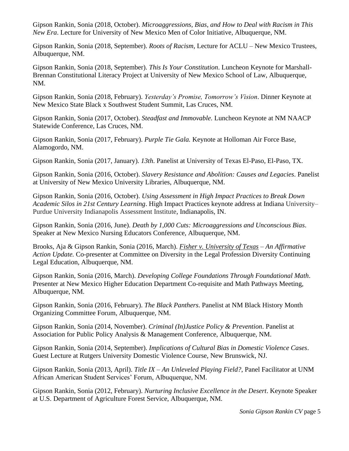Gipson Rankin, Sonia (2018, October). *Microaggressions, Bias, and How to Deal with Racism in This New Era*. Lecture for University of New Mexico Men of Color Initiative, Albuquerque, NM.

Gipson Rankin, Sonia (2018, September). *Roots of Racism*, Lecture for ACLU – New Mexico Trustees, Albuquerque, NM.

Gipson Rankin, Sonia (2018, September). *This Is Your Constitution*. Luncheon Keynote for Marshall-Brennan Constitutional Literacy Project at University of New Mexico School of Law, Albuquerque, NM.

Gipson Rankin, Sonia (2018, February). *Yesterday's Promise, Tomorrow's Vision*. Dinner Keynote at New Mexico State Black x Southwest Student Summit, Las Cruces, NM.

Gipson Rankin, Sonia (2017, October). *Steadfast and Immovable.* Luncheon Keynote at NM NAACP Statewide Conference, Las Cruces, NM.

Gipson Rankin, Sonia (2017, February). *Purple Tie Gala.* Keynote at Holloman Air Force Base, Alamogordo, NM.

Gipson Rankin, Sonia (2017, January). *13th*. Panelist at University of Texas El-Paso, El-Paso, TX.

Gipson Rankin, Sonia (2016, October). *Slavery Resistance and Abolition: Causes and Legacies*. Panelist at University of New Mexico University Libraries, Albuquerque, NM.

Gipson Rankin, Sonia (2016, October). *Using Assessment in High Impact Practices to Break Down Academic Silos in 21st Century Learning*. High Impact Practices keynote address at Indiana University– Purdue University Indianapolis Assessment Institute, Indianapolis, IN.

Gipson Rankin, Sonia (2016, June). *Death by 1,000 Cuts: Microaggressions and Unconscious Bias*. Speaker at New Mexico Nursing Educators Conference, Albuquerque, NM.

Brooks, Aja & Gipson Rankin, Sonia (2016, March). *Fisher v. University of Texas – An Affirmative Action Update.* Co-presenter at Committee on Diversity in the Legal Profession Diversity Continuing Legal Education, Albuquerque, NM.

Gipson Rankin, Sonia (2016, March). *Developing College Foundations Through Foundational Math*. Presenter at New Mexico Higher Education Department Co-requisite and Math Pathways Meeting, Albuquerque, NM.

Gipson Rankin, Sonia (2016, February). *The Black Panthers*. Panelist at NM Black History Month Organizing Committee Forum, Albuquerque, NM.

Gipson Rankin, Sonia (2014, November). *Criminal (In)Justice Policy & Prevention*. Panelist at Association for Public Policy Analysis & Management Conference, Albuquerque, NM.

Gipson Rankin, Sonia (2014, September). *Implications of Cultural Bias in Domestic Violence Cases*. Guest Lecture at Rutgers University Domestic Violence Course, New Brunswick, NJ.

Gipson Rankin, Sonia (2013, April). *Title IX – An Unleveled Playing Field?*, Panel Facilitator at UNM African American Student Services' Forum, Albuquerque, NM.

Gipson Rankin, Sonia (2012, February). *Nurturing Inclusive Excellence in the Desert*. Keynote Speaker at U.S. Department of Agriculture Forest Service, Albuquerque, NM.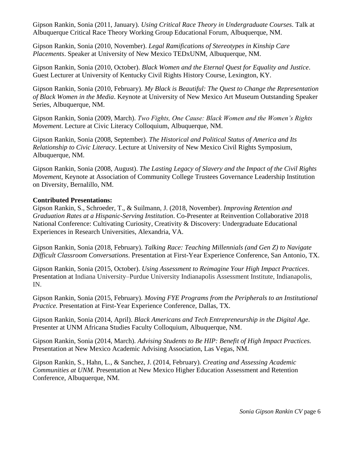Gipson Rankin, Sonia (2011, January). *Using Critical Race Theory in Undergraduate Courses*. Talk at Albuquerque Critical Race Theory Working Group Educational Forum, Albuquerque, NM.

Gipson Rankin, Sonia (2010, November). *Legal Ramifications of Stereotypes in Kinship Care Placements*. Speaker at University of New Mexico TEDxUNM, Albuquerque, NM.

Gipson Rankin, Sonia (2010, October). *Black Women and the Eternal Quest for Equality and Justice*. Guest Lecturer at University of Kentucky Civil Rights History Course, Lexington, KY.

Gipson Rankin, Sonia (2010, February). *My Black is Beautiful: The Quest to Change the Representation of Black Women in the Media*. Keynote at University of New Mexico Art Museum Outstanding Speaker Series, Albuquerque, NM.

Gipson Rankin, Sonia (2009, March). *Two Fights, One Cause: Black Women and the Women's Rights Movement*. Lecture at Civic Literacy Colloquium, Albuquerque, NM.

Gipson Rankin, Sonia (2008, September). *The Historical and Political Status of America and Its Relationship to Civic Literacy*. Lecture at University of New Mexico Civil Rights Symposium, Albuquerque, NM.

Gipson Rankin, Sonia (2008, August). *The Lasting Legacy of Slavery and the Impact of the Civil Rights Movement*, Keynote at Association of Community College Trustees Governance Leadership Institution on Diversity, Bernalillo, NM.

#### **Contributed Presentations:**

Gipson Rankin, S., Schroeder, T., & Suilmann, J. (2018, November). *Improving Retention and Graduation Rates at a Hispanic-Serving Institution*. Co-Presenter at Reinvention Collaborative 2018 National Conference: Cultivating Curiosity, Creativity & Discovery: Undergraduate Educational Experiences in Research Universities, Alexandria, VA.

Gipson Rankin, Sonia (2018, February). *Talking Race: Teaching Millennials (and Gen Z) to Navigate Difficult Classroom Conversations*. Presentation at First-Year Experience Conference, San Antonio, TX.

Gipson Rankin, Sonia (2015, October). *Using Assessment to Reimagine Your High Impact Practices*. Presentation at Indiana University–Purdue University Indianapolis Assessment Institute, Indianapolis, IN.

Gipson Rankin, Sonia (2015, February). *Moving FYE Programs from the Peripherals to an Institutional Practice.* Presentation at First-Year Experience Conference, Dallas, TX.

Gipson Rankin, Sonia (2014, April). *Black Americans and Tech Entrepreneurship in the Digital Age*. Presenter at UNM Africana Studies Faculty Colloquium, Albuquerque, NM.

Gipson Rankin, Sonia (2014, March). *Advising Students to Be HIP: Benefit of High Impact Practices.* Presentation at New Mexico Academic Advising Association, Las Vegas, NM.

Gipson Rankin, S., Hahn, L., & Sanchez, J. (2014, February). *Creating and Assessing Academic Communities at UNM.* Presentation at New Mexico Higher Education Assessment and Retention Conference, Albuquerque, NM.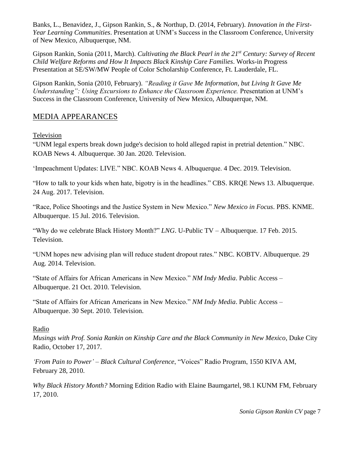Banks, L., Benavidez, J., Gipson Rankin, S., & Northup, D. (2014, February). *Innovation in the First-Year Learning Communities*. Presentation at UNM's Success in the Classroom Conference, University of New Mexico, Albuquerque, NM.

Gipson Rankin, Sonia (2011, March). *Cultivating the Black Pearl in the 21st Century: Survey of Recent Child Welfare Reforms and How It Impacts Black Kinship Care Families*. Works-in Progress Presentation at SE/SW/MW People of Color Scholarship Conference, Ft. Lauderdale, FL.

Gipson Rankin, Sonia (2010, February). *"Reading it Gave Me Information, but Living It Gave Me Understanding": Using Excursions to Enhance the Classroom Experience. Presentation at UNM's* Success in the Classroom Conference, University of New Mexico, Albuquerque, NM.

# MEDIA APPEARANCES

## Television

"UNM legal experts break down judge's decision to hold alleged rapist in pretrial detention." NBC. KOAB News 4. Albuquerque. 30 Jan. 2020. Television.

'Impeachment Updates: LIVE." NBC. KOAB News 4. Albuquerque. 4 Dec. 2019. Television.

"How to talk to your kids when hate, bigotry is in the headlines." CBS. KRQE News 13. Albuquerque. 24 Aug. 2017. Television.

"Race, Police Shootings and the Justice System in New Mexico." *New Mexico in Focus*. PBS. KNME. Albuquerque. 15 Jul. 2016. Television.

"Why do we celebrate Black History Month?" *LNG*. U-Public TV – Albuquerque. 17 Feb. 2015. Television.

"UNM hopes new advising plan will reduce student dropout rates." NBC. KOBTV. Albuquerque. 29 Aug. 2014. Television.

"State of Affairs for African Americans in New Mexico." *NM Indy Media*. Public Access – Albuquerque. 21 Oct. 2010. Television.

"State of Affairs for African Americans in New Mexico." *NM Indy Media*. Public Access – Albuquerque. 30 Sept. 2010. Television.

## Radio

*Musings with Prof. Sonia Rankin on Kinship Care and the Black Community in New Mexico*, Duke City Radio, October 17, 2017.

*'From Pain to Power' – Black Cultural Conference*, "Voices" Radio Program, 1550 KIVA AM, February 28, 2010.

*Why Black History Month?* Morning Edition Radio with Elaine Baumgartel, 98.1 KUNM FM, February 17, 2010.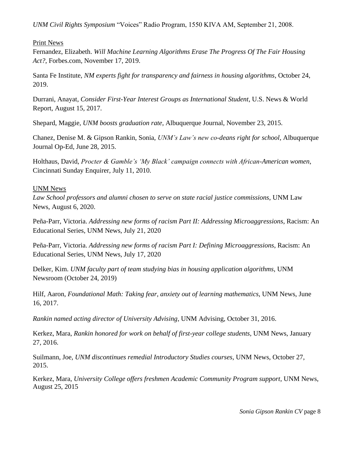*UNM Civil Rights Symposium* "Voices" Radio Program, 1550 KIVA AM, September 21, 2008.

Print News

Fernandez, Elizabeth. *Will Machine Learning Algorithms Erase The Progress Of The Fair Housing Act?*, Forbes.com, November 17, 2019.

Santa Fe Institute, *NM experts fight for transparency and fairness in housing algorithms*, October 24, 2019.

Durrani, Anayat, *Consider First-Year Interest Groups as International Student*, U.S. News & World Report, August 15, 2017.

Shepard, Maggie, *UNM boosts graduation rate*, Albuquerque Journal, November 23, 2015.

Chanez, Denise M. & Gipson Rankin, Sonia, *UNM's Law's new co-deans right for school*, Albuquerque Journal Op-Ed, June 28, 2015.

Holthaus, David, *Procter & Gamble's 'My Black' campaign connects with African-American women*, Cincinnati Sunday Enquirer, July 11, 2010.

#### UNM News

*Law School professors and alumni chosen to serve on state racial justice commissions*, UNM Law News, August 6, 2020.

Peña-Parr, Victoria. *Addressing new forms of racism Part II: Addressing Microaggressions*, Racism: An Educational Series, UNM News, July 21, 2020

Peña-Parr, Victoria. *Addressing new forms of racism Part I: Defining Microaggressions*, Racism: An Educational Series, UNM News, July 17, 2020

Delker, Kim. *UNM faculty part of team studying bias in housing application algorithms*, UNM Newsroom (October 24, 2019)

Hilf, Aaron, *Foundational Math: Taking fear, anxiety out of learning mathematics*, UNM News, June 16, 2017.

*Rankin named acting director of University Advising*, UNM Advising, October 31, 2016.

Kerkez, Mara, *Rankin honored for work on behalf of first-year college students*, UNM News, January 27, 2016.

Suilmann, Joe, *UNM discontinues remedial Introductory Studies courses*, UNM News, October 27, 2015.

Kerkez, Mara, *[University College offers freshmen Academic Community Program support](http://news.unm.edu/news/university-college-offers-freshmen-academic-community-program-support)*, UNM News, August 25, 2015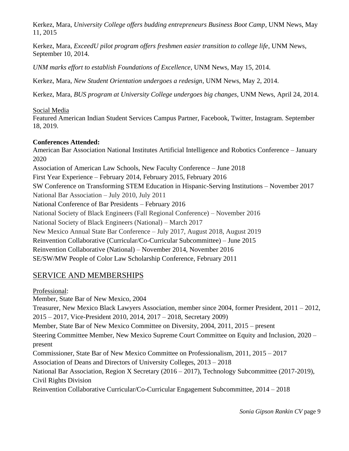Kerkez, Mara, *University College offers budding entrepreneurs Business Boot Camp*, UNM News, May 11, 2015

Kerkez, Mara, *ExceedU pilot program offers freshmen easier transition to college life*, UNM News, September 10, 2014.

*UNM marks effort to establish Foundations of Excellence*, UNM News, May 15, 2014.

Kerkez, Mara, *New Student Orientation undergoes a redesign*, UNM News, May 2, 2014.

Kerkez, Mara, *BUS program at University College undergoes big changes*, UNM News, April 24, 2014.

## Social Media

Featured American Indian Student Services Campus Partner, Facebook, Twitter, Instagram. September 18, 2019.

## **Conferences Attended:**

American Bar Association National Institutes Artificial Intelligence and Robotics Conference – January 2020 Association of American Law Schools, New Faculty Conference – June 2018 First Year Experience – February 2014, February 2015, February 2016 SW Conference on Transforming STEM Education in Hispanic-Serving Institutions – November 2017 National Bar Association – July 2010, July 2011 National Conference of Bar Presidents – February 2016 National Society of Black Engineers (Fall Regional Conference) – November 2016 National Society of Black Engineers (National) – March 2017 New Mexico Annual State Bar Conference – July 2017, August 2018, August 2019 Reinvention Collaborative (Curricular/Co-Curricular Subcommittee) – June 2015 Reinvention Collaborative (National) – November 2014, November 2016 SE/SW/MW People of Color Law Scholarship Conference, February 2011

# SERVICE AND MEMBERSHIPS

Professional: Member, State Bar of New Mexico, 2004 Treasurer, New Mexico Black Lawyers Association, member since 2004, former President, 2011 – 2012, 2015 – 2017, Vice-President 2010, 2014, 2017 – 2018, Secretary 2009) Member, State Bar of New Mexico Committee on Diversity, 2004, 2011, 2015 – present Steering Committee Member, New Mexico Supreme Court Committee on Equity and Inclusion, 2020 – present Commissioner, State Bar of New Mexico Committee on Professionalism, 2011, 2015 – 2017 Association of Deans and Directors of University Colleges, 2013 – 2018 National Bar Association, Region X Secretary (2016 – 2017), Technology Subcommittee (2017-2019), Civil Rights Division Reinvention Collaborative Curricular/Co-Curricular Engagement Subcommittee, 2014 – 2018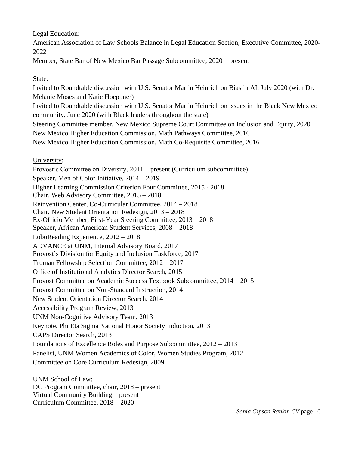Legal Education:

American Association of Law Schools Balance in Legal Education Section, Executive Committee, 2020- 2022

Member, State Bar of New Mexico Bar Passage Subcommittee, 2020 – present

## State:

Invited to Roundtable discussion with U.S. Senator Martin Heinrich on Bias in AI, July 2020 (with Dr. Melanie Moses and Katie Hoeppner) Invited to Roundtable discussion with U.S. Senator Martin Heinrich on issues in the Black New Mexico community, June 2020 (with Black leaders throughout the state) Steering Committee member, New Mexico Supreme Court Committee on Inclusion and Equity, 2020 New Mexico Higher Education Commission, Math Pathways Committee, 2016 New Mexico Higher Education Commission, Math Co-Requisite Committee, 2016

## University:

Provost's Committee on Diversity, 2011 – present (Curriculum subcommittee) Speaker, Men of Color Initiative, 2014 – 2019 Higher Learning Commission Criterion Four Committee, 2015 - 2018 Chair, Web Advisory Committee, 2015 – 2018 Reinvention Center, Co-Curricular Committee, 2014 – 2018 Chair, New Student Orientation Redesign, 2013 – 2018 Ex-Officio Member, First-Year Steering Committee, 2013 – 2018 Speaker, African American Student Services, 2008 – 2018 LoboReading Experience, 2012 – 2018 ADVANCE at UNM, Internal Advisory Board, 2017 Provost's Division for Equity and Inclusion Taskforce, 2017 Truman Fellowship Selection Committee, 2012 – 2017 Office of Institutional Analytics Director Search, 2015 Provost Committee on Academic Success Textbook Subcommittee, 2014 – 2015 Provost Committee on Non-Standard Instruction, 2014 New Student Orientation Director Search, 2014 Accessibility Program Review, 2013 UNM Non-Cognitive Advisory Team, 2013 Keynote, Phi Eta Sigma National Honor Society Induction, 2013 CAPS Director Search, 2013 Foundations of Excellence Roles and Purpose Subcommittee, 2012 – 2013 Panelist, UNM Women Academics of Color, Women Studies Program, 2012 Committee on Core Curriculum Redesign, 2009

UNM School of Law: DC Program Committee, chair, 2018 – present Virtual Community Building – present Curriculum Committee, 2018 – 2020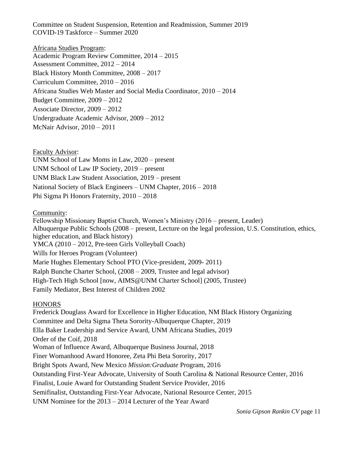Committee on Student Suspension, Retention and Readmission, Summer 2019 COVID-19 Taskforce – Summer 2020

Africana Studies Program: Academic Program Review Committee, 2014 – 2015 Assessment Committee, 2012 – 2014 Black History Month Committee, 2008 – 2017 Curriculum Committee, 2010 – 2016 Africana Studies Web Master and Social Media Coordinator, 2010 – 2014 Budget Committee, 2009 – 2012 Associate Director, 2009 – 2012 Undergraduate Academic Advisor, 2009 – 2012 McNair Advisor, 2010 – 2011

Faculty Advisor: UNM School of Law Moms in Law, 2020 – present UNM School of Law IP Society, 2019 – present UNM Black Law Student Association, 2019 – present National Society of Black Engineers – UNM Chapter, 2016 – 2018 Phi Sigma Pi Honors Fraternity, 2010 – 2018

Community:

Fellowship Missionary Baptist Church, Women's Ministry (2016 – present, Leader) Albuquerque Public Schools (2008 – present, Lecture on the legal profession, U.S. Constitution, ethics, higher education, and Black history) YMCA (2010 – 2012, Pre-teen Girls Volleyball Coach) Wills for Heroes Program (Volunteer) Marie Hughes Elementary School PTO (Vice-president, 2009- 2011) Ralph Bunche Charter School, (2008 – 2009, Trustee and legal advisor) High-Tech High School [now, AIMS@UNM Charter School] (2005, Trustee) Family Mediator, Best Interest of Children 2002

## **HONORS**

Frederick Douglass Award for Excellence in Higher Education, NM Black History Organizing Committee and Delta Sigma Theta Sorority-Albuquerque Chapter, 2019 Ella Baker Leadership and Service Award, UNM Africana Studies, 2019 Order of the Coif, 2018 Woman of Influence Award, Albuquerque Business Journal, 2018 Finer Womanhood Award Honoree, Zeta Phi Beta Sorority, 2017 Bright Spots Award, New Mexico *Mission:Graduate* Program, 2016 Outstanding First-Year Advocate, University of South Carolina & National Resource Center, 2016 Finalist, Louie Award for Outstanding Student Service Provider, 2016 Semifinalist, Outstanding First-Year Advocate, National Resource Center, 2015 UNM Nominee for the 2013 – 2014 Lecturer of the Year Award

*Sonia Gipson Rankin CV* page 11